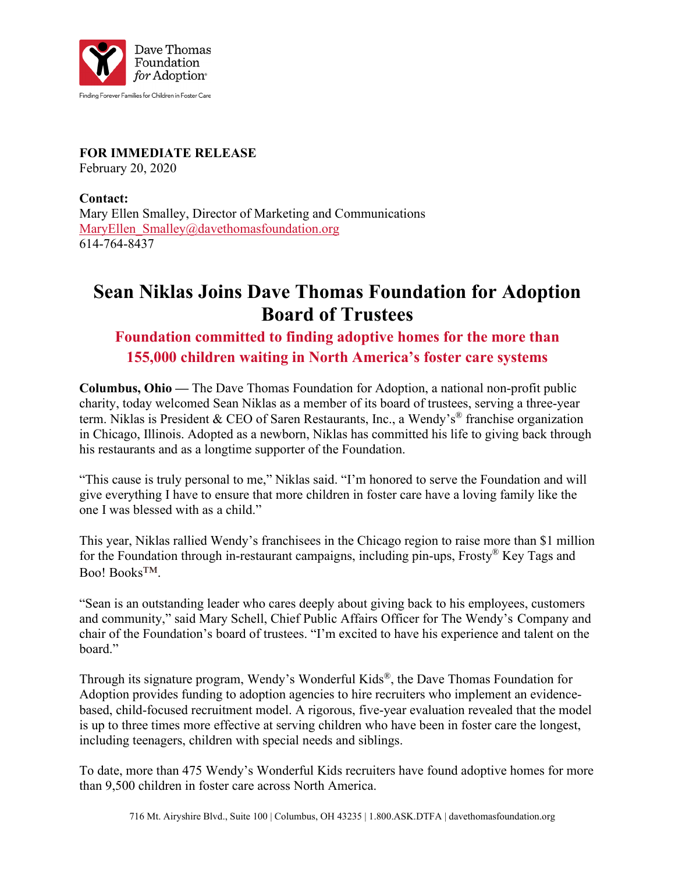

**FOR IMMEDIATE RELEASE** February 20, 2020

**Contact:** Mary Ellen Smalley, Director of Marketing and Communications MaryEllen Smalley@davethomasfoundation.org 614-764-8437

## **Sean Niklas Joins Dave Thomas Foundation for Adoption Board of Trustees**

## **Foundation committed to finding adoptive homes for the more than 155,000 children waiting in North America's foster care systems**

**Columbus, Ohio —** The Dave Thomas Foundation for Adoption, a national non-profit public charity, today welcomed Sean Niklas as a member of its board of trustees, serving a three-year term. Niklas is President & CEO of Saren Restaurants, Inc., a Wendy's® franchise organization in Chicago, Illinois. Adopted as a newborn, Niklas has committed his life to giving back through his restaurants and as a longtime supporter of the Foundation.

"This cause is truly personal to me," Niklas said. "I'm honored to serve the Foundation and will give everything I have to ensure that more children in foster care have a loving family like the one I was blessed with as a child."

This year, Niklas rallied Wendy's franchisees in the Chicago region to raise more than \$1 million for the Foundation through in-restaurant campaigns, including pin-ups, Frosty® Key Tags and Boo! Books™.

"Sean is an outstanding leader who cares deeply about giving back to his employees, customers and community," said Mary Schell, Chief Public Affairs Officer for The Wendy's Company and chair of the Foundation's board of trustees. "I'm excited to have his experience and talent on the board."

Through its signature program, Wendy's Wonderful Kids®, the Dave Thomas Foundation for Adoption provides funding to adoption agencies to hire recruiters who implement an evidencebased, child-focused recruitment model. A rigorous, five-year evaluation revealed that the model is up to three times more effective at serving children who have been in foster care the longest, including teenagers, children with special needs and siblings.

To date, more than 475 Wendy's Wonderful Kids recruiters have found adoptive homes for more than 9,500 children in foster care across North America.